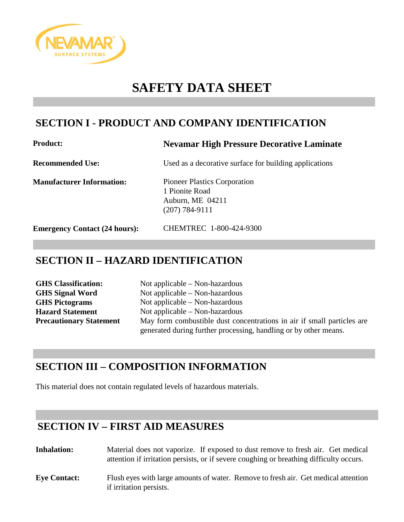

# **SAFETY DATA SHEET**

# **SECTION I - PRODUCT AND COMPANY IDENTIFICATION**

### **Product: Nevamar High Pressure Decorative Laminate**

**Recommended Use:** Used as a decorative surface for building applications

**Manufacturer Information:** Pioneer Plastics Corporation

1 Pionite Road Auburn, ME 04211 (207) 784-9111

**Emergency Contact (24 hours):** CHEMTREC 1-800-424-9300

# **SECTION II – HAZARD IDENTIFICATION**

| <b>GHS</b> Classification:     | Not applicable $-$ Non-hazardous                                       |
|--------------------------------|------------------------------------------------------------------------|
| <b>GHS Signal Word</b>         | Not applicable $-$ Non-hazardous                                       |
| <b>GHS Pictograms</b>          | Not applicable $-$ Non-hazardous                                       |
| <b>Hazard Statement</b>        | Not applicable $-$ Non-hazardous                                       |
| <b>Precautionary Statement</b> | May form combustible dust concentrations in air if small particles are |
|                                | generated during further processing, handling or by other means.       |

# **SECTION III – COMPOSITION INFORMATION**

This material does not contain regulated levels of hazardous materials.

# **SECTION IV – FIRST AID MEASURES**

**Inhalation:** Material does not vaporize. If exposed to dust remove to fresh air. Get medical attention if irritation persists, or if severe coughing or breathing difficulty occurs. **Eye Contact:** Flush eyes with large amounts of water. Remove to fresh air. Get medical attention if irritation persists.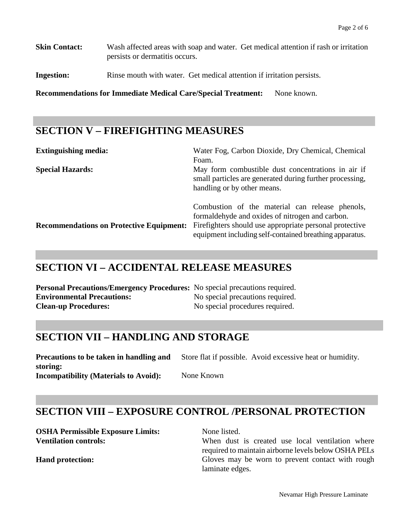**Skin Contact:** Wash affected areas with soap and water. Get medical attention if rash or irritation persists or dermatitis occurs.

**Ingestion:** Rinse mouth with water. Get medical attention if irritation persists.

**Recommendations for Immediate Medical Care/Special Treatment:** None known.

# **SECTION V – FIREFIGHTING MEASURES**

| <b>Extinguishing media:</b>                     | Water Fog, Carbon Dioxide, Dry Chemical, Chemical<br>Foam.                                                                                                                                                                |
|-------------------------------------------------|---------------------------------------------------------------------------------------------------------------------------------------------------------------------------------------------------------------------------|
| <b>Special Hazards:</b>                         | May form combustible dust concentrations in air if<br>small particles are generated during further processing,<br>handling or by other means.                                                                             |
| <b>Recommendations on Protective Equipment:</b> | Combustion of the material can release phenols,<br>formal dehyde and oxides of nitrogen and carbon.<br>Firefighters should use appropriate personal protective<br>equipment including self-contained breathing apparatus. |

## **SECTION VI – ACCIDENTAL RELEASE MEASURES**

| <b>Personal Precautions/Emergency Procedures:</b> No special precautions required. |                                  |
|------------------------------------------------------------------------------------|----------------------------------|
| <b>Environmental Precautions:</b>                                                  | No special precautions required. |
| <b>Clean-up Procedures:</b>                                                        | No special procedures required.  |

# **SECTION VII – HANDLING AND STORAGE**

**Precautions to be taken in handling and storing:** Store flat if possible. Avoid excessive heat or humidity.

**Incompatibility (Materials to Avoid):** None Known

# **SECTION VIII – EXPOSURE CONTROL /PERSONAL PROTECTION**

**OSHA Permissible Exposure Limits:** None listed.

**Ventilation controls:** When dust is created use local ventilation where required to maintain airborne levels below OSHA PELs **Hand protection:** Gloves may be worn to prevent contact with rough laminate edges.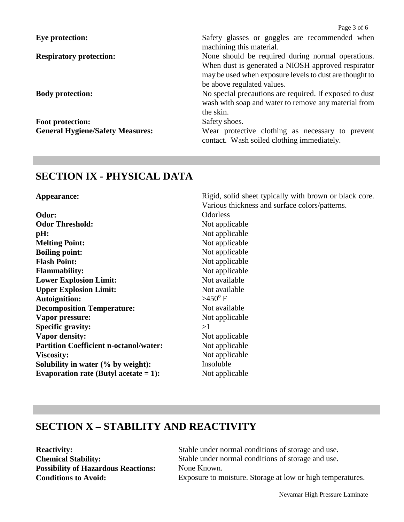|                                         | Page 3 of 6                                                                                                                                                                                      |
|-----------------------------------------|--------------------------------------------------------------------------------------------------------------------------------------------------------------------------------------------------|
| <b>Eye protection:</b>                  | Safety glasses or goggles are recommended when<br>machining this material.                                                                                                                       |
| <b>Respiratory protection:</b>          | None should be required during normal operations.<br>When dust is generated a NIOSH approved respirator<br>may be used when exposure levels to dust are thought to<br>be above regulated values. |
| <b>Body protection:</b>                 | No special precautions are required. If exposed to dust<br>wash with soap and water to remove any material from<br>the skin.                                                                     |
| Foot protection:                        | Safety shoes.                                                                                                                                                                                    |
| <b>General Hygiene/Safety Measures:</b> | Wear protective clothing as necessary to prevent<br>contact. Wash soiled clothing immediately.                                                                                                   |

## **SECTION IX - PHYSICAL DATA**

Appearance: Rigid, solid sheet typically with brown or black core.

| Odorless         |
|------------------|
| Not applicable   |
| Not applicable   |
| Not applicable   |
| Not applicable   |
| Not applicable   |
| Not applicable   |
| Not available    |
| Not available    |
| $>450^{\circ}$ F |
| Not available    |
| Not applicable   |
| >1               |
| Not applicable   |
| Not applicable   |
| Not applicable   |
| Insoluble        |
| Not applicable   |
|                  |

# Various thickness and surface colors/patterns.

# **SECTION X – STABILITY AND REACTIVITY**

Possibility of Hazardous Reactions: None Known.

**Reactivity:** Stable under normal conditions of storage and use. **Chemical Stability:** Stable under normal conditions of storage and use. **Conditions to Avoid:** Exposure to moisture. Storage at low or high temperatures.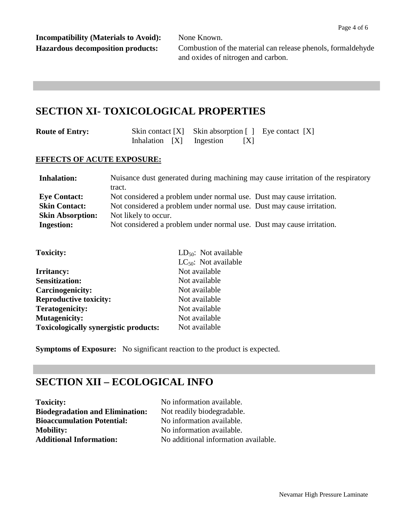**Incompatibility (Materials to Avoid):** None Known.

**Hazardous decomposition products:** Combustion of the material can release phenols, formaldehyde and oxides of nitrogen and carbon.

## **SECTION XI- TOXICOLOGICAL PROPERTIES**

| <b>Route of Entry:</b> |  |  | Skin contact $[X]$ Skin absorption $[ ]$ Eye contact $[X]$ |   |  |  |
|------------------------|--|--|------------------------------------------------------------|---|--|--|
|                        |  |  | Inhalation [X] Ingestion                                   | X |  |  |

#### **EFFECTS OF ACUTE EXPOSURE:**

| <b>Inhalation:</b>      | Nuisance dust generated during machining may cause irritation of the respiratory |  |  |  |
|-------------------------|----------------------------------------------------------------------------------|--|--|--|
|                         | tract.                                                                           |  |  |  |
| <b>Eye Contact:</b>     | Not considered a problem under normal use. Dust may cause irritation.            |  |  |  |
| <b>Skin Contact:</b>    | Not considered a problem under normal use. Dust may cause irritation.            |  |  |  |
| <b>Skin Absorption:</b> | Not likely to occur.                                                             |  |  |  |
| <b>Ingestion:</b>       | Not considered a problem under normal use. Dust may cause irritation.            |  |  |  |

| <b>Toxicity:</b>                             | $LD_{50}$ : Not available |
|----------------------------------------------|---------------------------|
|                                              | $LC_{50}$ : Not available |
| <b>Irritancy:</b>                            | Not available             |
| <b>Sensitization:</b>                        | Not available             |
| Carcinogenicity:                             | Not available             |
| <b>Reproductive toxicity:</b>                | Not available             |
| <b>Teratogenicity:</b>                       | Not available             |
| <b>Mutagenicity:</b>                         | Not available             |
| <b>Toxicologically synergistic products:</b> | Not available             |
|                                              |                           |

**Symptoms of Exposure:** No significant reaction to the product is expected.

# **SECTION XII – ECOLOGICAL INFO**

**Toxicity:** No information available. **Biodegradation and Elimination:** Not readily biodegradable. **Bioaccumulation Potential:** No information available. **Mobility:** No information available.<br> **Additional Information:** No additional information

**Additional Information:** No additional information available.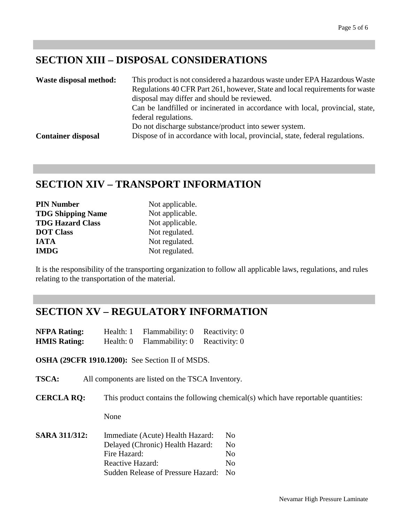# **SECTION XIII – DISPOSAL CONSIDERATIONS**

| Waste disposal method:    | This product is not considered a hazardous waste under EPA Hazardous Waste    |
|---------------------------|-------------------------------------------------------------------------------|
|                           | Regulations 40 CFR Part 261, however, State and local requirements for waste  |
|                           | disposal may differ and should be reviewed.                                   |
|                           | Can be landfilled or incinerated in accordance with local, provincial, state, |
|                           | federal regulations.                                                          |
|                           | Do not discharge substance/product into sewer system.                         |
| <b>Container disposal</b> | Dispose of in accordance with local, provincial, state, federal regulations.  |

# **SECTION XIV – TRANSPORT INFORMATION**

| <b>PIN Number</b>        | Not applicable. |
|--------------------------|-----------------|
| <b>TDG Shipping Name</b> | Not applicable. |
| <b>TDG Hazard Class</b>  | Not applicable. |
| <b>DOT Class</b>         | Not regulated.  |
| <b>IATA</b>              | Not regulated.  |
| <b>IMDG</b>              | Not regulated.  |

It is the responsibility of the transporting organization to follow all applicable laws, regulations, and rules relating to the transportation of the material.

## **SECTION XV – REGULATORY INFORMATION**

| <b>NFPA Rating:</b> | Health: 1 | Flammability: 0 | Reactivity: 0 |
|---------------------|-----------|-----------------|---------------|
| <b>HMIS Rating:</b> | Health: 0 | Flammability: 0 | Reactivity: 0 |

**OSHA (29CFR 1910.1200):** See Section II of MSDS.

**TSCA:** All components are listed on the TSCA Inventory.

**CERCLA RQ:** This product contains the following chemical(s) which have reportable quantities:

None

| <b>SARA 311/312:</b> | Immediate (Acute) Health Hazard:   |      |  |
|----------------------|------------------------------------|------|--|
|                      | Delayed (Chronic) Health Hazard:   | No   |  |
|                      | Fire Hazard:                       | No   |  |
|                      | Reactive Hazard:                   | No   |  |
|                      | Sudden Release of Pressure Hazard: | - No |  |
|                      |                                    |      |  |